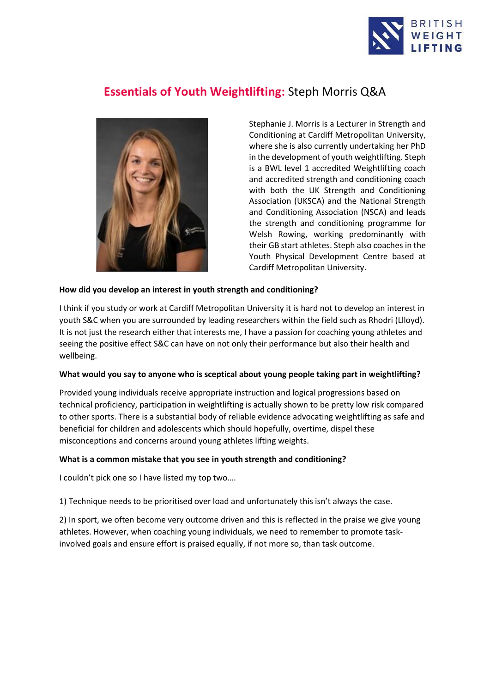

# **Essentials of Youth Weightlifting:** Steph Morris Q&A



Stephanie J. Morris is a Lecturer in Strength and Conditioning at Cardiff Metropolitan University, where she is also currently undertaking her PhD in the development of youth weightlifting. Steph is a BWL level 1 accredited Weightlifting coach and accredited strength and conditioning coach with both the UK Strength and Conditioning Association (UKSCA) and the National Strength and Conditioning Association (NSCA) and leads the strength and conditioning programme for Welsh Rowing, working predominantly with their GB start athletes. Steph also coaches in the Youth Physical Development Centre based at Cardiff Metropolitan University.

### **How did you develop an interest in youth strength and conditioning?**

I think if you study or work at Cardiff Metropolitan University it is hard not to develop an interest in youth S&C when you are surrounded by leading researchers within the field such as Rhodri (Llloyd). It is not just the research either that interests me, I have a passion for coaching young athletes and seeing the positive effect S&C can have on not only their performance but also their health and wellbeing.

### **What would you say to anyone who is sceptical about young people taking part in weightlifting?**

Provided young individuals receive appropriate instruction and logical progressions based on technical proficiency, participation in weightlifting is actually shown to be pretty low risk compared to other sports. There is a substantial body of reliable evidence advocating weightlifting as safe and beneficial for children and adolescents which should hopefully, overtime, dispel these misconceptions and concerns around young athletes lifting weights.

### **What is a common mistake that you see in youth strength and conditioning?**

I couldn't pick one so I have listed my top two….

1) Technique needs to be prioritised over load and unfortunately this isn't always the case.

2) In sport, we often become very outcome driven and this is reflected in the praise we give young athletes. However, when coaching young individuals, we need to remember to promote taskinvolved goals and ensure effort is praised equally, if not more so, than task outcome.